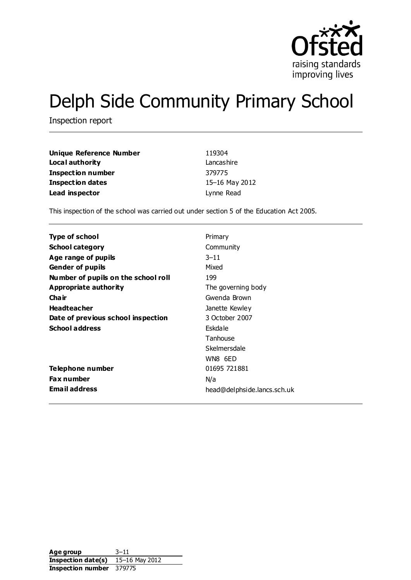

# Delph Side Community Primary School

Inspection report

| Unique Reference Number  | 119304         |
|--------------------------|----------------|
| Local authority          | Lancashire     |
| <b>Inspection number</b> | 379775         |
| <b>Inspection dates</b>  | 15-16 May 2012 |
| Lead inspector           | Lynne Read     |

This inspection of the school was carried out under section 5 of the Education Act 2005.

| <b>Type of school</b>               | Primary                     |
|-------------------------------------|-----------------------------|
|                                     |                             |
| <b>School category</b>              | Community                   |
| Age range of pupils                 | $3 - 11$                    |
| <b>Gender of pupils</b>             | Mixed                       |
| Number of pupils on the school roll | 199                         |
| Appropriate authority               | The governing body          |
| Cha ir                              | Gwenda Brown                |
| <b>Headteacher</b>                  | Janette Kewley              |
| Date of previous school inspection  | 3 October 2007              |
| <b>School address</b>               | Eskdale                     |
|                                     | Tanhouse                    |
|                                     | Skelmersdale                |
|                                     | WN8 6ED                     |
| Telephone number                    | 01695 721881                |
| <b>Fax number</b>                   | N/a                         |
| <b>Email address</b>                | head@delphside.lancs.sch.uk |

Age group 3-11 **Inspection date(s)** 15–16 May 2012 **Inspection number** 379775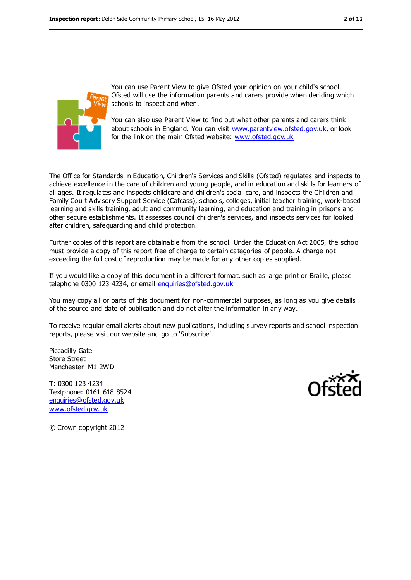

You can use Parent View to give Ofsted your opinion on your child's school. Ofsted will use the information parents and carers provide when deciding which schools to inspect and when.

You can also use Parent View to find out what other parents and carers think about schools in England. You can visit [www.parentview.ofsted.gov.uk,](www.parentview.ofsted.gov.uk) or look for the link on the main Ofsted website:<www.ofsted.gov.uk>

The Office for Standards in Education, Children's Services and Skills (Ofsted) regulates and inspects to achieve excellence in the care of children and young people, and in education and skills for learners of all ages. It regulates and inspects childcare and children's social care, and inspects the Children and Family Court Advisory Support Service (Cafcass), schools, colleges, initial teacher training, work-based learning and skills training, adult and community learning, and education and training in prisons and other secure establishments. It assesses council children's services, and inspects services for looked after children, safeguarding and child protection.

Further copies of this report are obtainable from the school. Under the Education Act 2005, the school must provide a copy of this report free of charge to certain categories of people. A charge not exceeding the full cost of reproduction may be made for any other copies supplied.

If you would like a copy of this document in a different format, such as large print or Braille, please telephone 0300 123 4234, or email [enquiries@ofsted.gov.uk](mailto:enquiries@ofsted.gov.uk)

You may copy all or parts of this document for non-commercial purposes, as long as you give details of the source and date of publication and do not alter the information in any way.

To receive regular email alerts about new publications, including survey reports and school inspection reports, please visit our website and go to 'Subscribe'.

Piccadilly Gate Store Street Manchester M1 2WD

T: 0300 123 4234 Textphone: 0161 618 8524 [enquiries@ofsted.gov.uk](mailto:enquiries@ofsted.gov.uk) [www.ofsted.gov.uk](http://www.ofsted.gov.uk/)



© Crown copyright 2012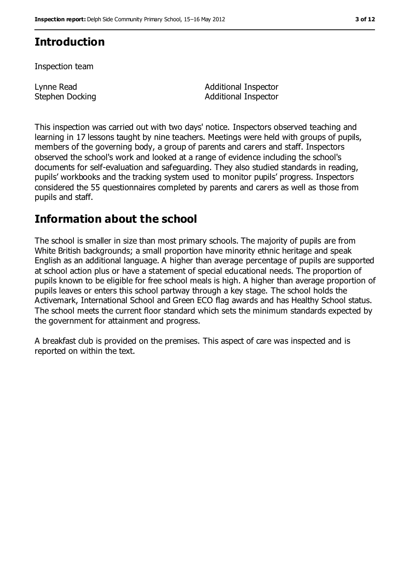# **Introduction**

Inspection team

Lynne Read Stephen Docking Additional Inspector Additional Inspector

This inspection was carried out with two days' notice. Inspectors observed teaching and learning in 17 lessons taught by nine teachers. Meetings were held with groups of pupils, members of the governing body, a group of parents and carers and staff. Inspectors observed the school's work and looked at a range of evidence including the school's documents for self-evaluation and safeguarding. They also studied standards in reading, pupils' workbooks and the tracking system used to monitor pupils' progress. Inspectors considered the 55 questionnaires completed by parents and carers as well as those from pupils and staff.

## **Information about the school**

The school is smaller in size than most primary schools. The majority of pupils are from White British backgrounds; a small proportion have minority ethnic heritage and speak English as an additional language. A higher than average percentage of pupils are supported at school action plus or have a statement of special educational needs. The proportion of pupils known to be eligible for free school meals is high. A higher than average proportion of pupils leaves or enters this school partway through a key stage. The school holds the Activemark, International School and Green ECO flag awards and has Healthy School status. The school meets the current floor standard which sets the minimum standards expected by the government for attainment and progress.

A breakfast club is provided on the premises. This aspect of care was inspected and is reported on within the text.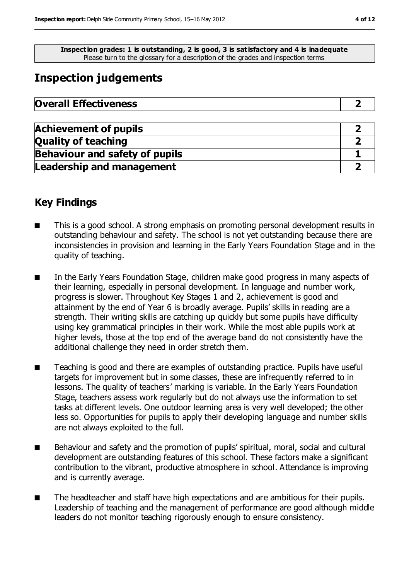**Inspection grades: 1 is outstanding, 2 is good, 3 is satisfactory and 4 is inadequate** Please turn to the glossary for a description of the grades and inspection terms

# **Inspection judgements**

| <b>Overall Effectiveness</b> |  |
|------------------------------|--|
|------------------------------|--|

| <b>Achievement of pupils</b>          |  |
|---------------------------------------|--|
| <b>Quality of teaching</b>            |  |
| <b>Behaviour and safety of pupils</b> |  |
| <b>Leadership and management</b>      |  |

## **Key Findings**

- This is a good school. A strong emphasis on promoting personal development results in outstanding behaviour and safety. The school is not yet outstanding because there are inconsistencies in provision and learning in the Early Years Foundation Stage and in the quality of teaching.
- In the Early Years Foundation Stage, children make good progress in many aspects of their learning, especially in personal development. In language and number work, progress is slower. Throughout Key Stages 1 and 2, achievement is good and attainment by the end of Year 6 is broadly average. Pupils' skills in reading are a strength. Their writing skills are catching up quickly but some pupils have difficulty using key grammatical principles in their work. While the most able pupils work at higher levels, those at the top end of the average band do not consistently have the additional challenge they need in order stretch them.
- Teaching is good and there are examples of outstanding practice. Pupils have useful targets for improvement but in some classes, these are infrequently referred to in lessons. The quality of teachers' marking is variable. In the Early Years Foundation Stage, teachers assess work regularly but do not always use the information to set tasks at different levels. One outdoor learning area is very well developed; the other less so. Opportunities for pupils to apply their developing language and number skills are not always exploited to the full.
- Behaviour and safety and the promotion of pupils' spiritual, moral, social and cultural development are outstanding features of this school. These factors make a significant contribution to the vibrant, productive atmosphere in school. Attendance is improving and is currently average.
- The headteacher and staff have high expectations and are ambitious for their pupils. Leadership of teaching and the management of performance are good although middle leaders do not monitor teaching rigorously enough to ensure consistency.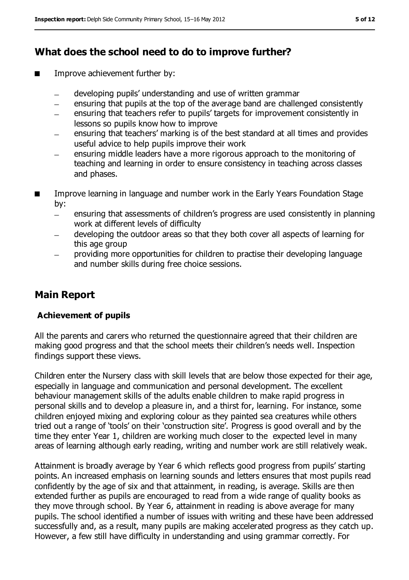## **What does the school need to do to improve further?**

- Improve achievement further by:
	- developing pupils' understanding and use of written grammar  $\equiv$
	- ensuring that pupils at the top of the average band are challenged consistently
	- ensuring that teachers refer to pupils' targets for improvement consistently in lessons so pupils know how to improve
	- ensuring that teachers' marking is of the best standard at all times and provides useful advice to help pupils improve their work
	- ensuring middle leaders have a more rigorous approach to the monitoring of teaching and learning in order to ensure consistency in teaching across classes and phases.
- Improve learning in language and number work in the Early Years Foundation Stage by:
	- ensuring that assessments of children's progress are used consistently in planning  $\equiv$ work at different levels of difficulty
	- developing the outdoor areas so that they both cover all aspects of learning for this age group
	- providing more opportunities for children to practise their developing language and number skills during free choice sessions.

## **Main Report**

#### **Achievement of pupils**

All the parents and carers who returned the questionnaire agreed that their children are making good progress and that the school meets their children's needs well. Inspection findings support these views.

Children enter the Nursery class with skill levels that are below those expected for their age, especially in language and communication and personal development. The excellent behaviour management skills of the adults enable children to make rapid progress in personal skills and to develop a pleasure in, and a thirst for, learning. For instance, some children enjoyed mixing and exploring colour as they painted sea creatures while others tried out a range of 'tools' on their 'construction site'. Progress is good overall and by the time they enter Year 1, children are working much closer to the expected level in many areas of learning although early reading, writing and number work are still relatively weak.

Attainment is broadly average by Year 6 which reflects good progress from pupils' starting points. An increased emphasis on learning sounds and letters ensures that most pupils read confidently by the age of six and that attainment, in reading, is average. Skills are then extended further as pupils are encouraged to read from a wide range of quality books as they move through school. By Year 6, attainment in reading is above average for many pupils. The school identified a number of issues with writing and these have been addressed successfully and, as a result, many pupils are making accelerated progress as they catch up. However, a few still have difficulty in understanding and using grammar correctly. For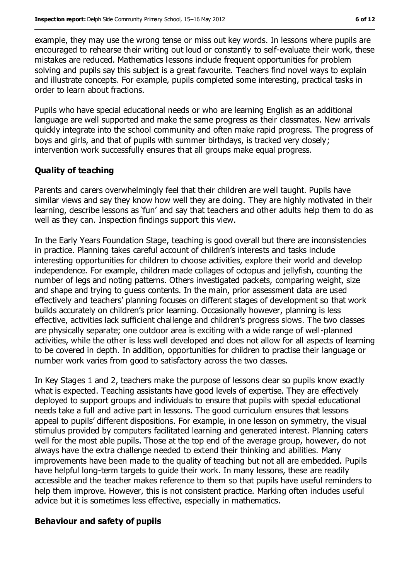example, they may use the wrong tense or miss out key words. In lessons where pupils are encouraged to rehearse their writing out loud or constantly to self-evaluate their work, these mistakes are reduced. Mathematics lessons include frequent opportunities for problem solving and pupils say this subject is a great favourite. Teachers find novel ways to explain and illustrate concepts. For example, pupils completed some interesting, practical tasks in order to learn about fractions.

Pupils who have special educational needs or who are learning English as an additional language are well supported and make the same progress as their classmates. New arrivals quickly integrate into the school community and often make rapid progress. The progress of boys and girls, and that of pupils with summer birthdays, is tracked very closely; intervention work successfully ensures that all groups make equal progress.

#### **Quality of teaching**

Parents and carers overwhelmingly feel that their children are well taught. Pupils have similar views and say they know how well they are doing. They are highly motivated in their learning, describe lessons as 'fun' and say that teachers and other adults help them to do as well as they can. Inspection findings support this view.

In the Early Years Foundation Stage, teaching is good overall but there are inconsistencies in practice. Planning takes careful account of children's interests and tasks include interesting opportunities for children to choose activities, explore their world and develop independence. For example, children made collages of octopus and jellyfish, counting the number of legs and noting patterns. Others investigated packets, comparing weight, size and shape and trying to guess contents. In the main, prior assessment data are used effectively and teachers' planning focuses on different stages of development so that work builds accurately on children's prior learning. Occasionally however, planning is less effective, activities lack sufficient challenge and children's progress slows. The two classes are physically separate; one outdoor area is exciting with a wide range of well-planned activities, while the other is less well developed and does not allow for all aspects of learning to be covered in depth. In addition, opportunities for children to practise their language or number work varies from good to satisfactory across the two classes.

In Key Stages 1 and 2, teachers make the purpose of lessons clear so pupils know exactly what is expected. Teaching assistants have good levels of expertise. They are effectively deployed to support groups and individuals to ensure that pupils with special educational needs take a full and active part in lessons. The good curriculum ensures that lessons appeal to pupils' different dispositions. For example, in one lesson on symmetry, the visual stimulus provided by computers facilitated learning and generated interest. Planning caters well for the most able pupils. Those at the top end of the average group, however, do not always have the extra challenge needed to extend their thinking and abilities. Many improvements have been made to the quality of teaching but not all are embedded. Pupils have helpful long-term targets to guide their work. In many lessons, these are readily accessible and the teacher makes reference to them so that pupils have useful reminders to help them improve. However, this is not consistent practice. Marking often includes useful advice but it is sometimes less effective, especially in mathematics.

#### **Behaviour and safety of pupils**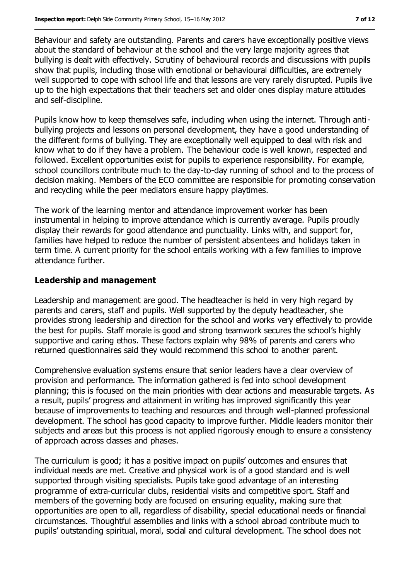Behaviour and safety are outstanding. Parents and carers have exceptionally positive views about the standard of behaviour at the school and the very large majority agrees that bullying is dealt with effectively. Scrutiny of behavioural records and discussions with pupils show that pupils, including those with emotional or behavioural difficulties, are extremely well supported to cope with school life and that lessons are very rarely disrupted. Pupils live up to the high expectations that their teachers set and older ones display mature attitudes and self-discipline.

Pupils know how to keep themselves safe, including when using the internet. Through antibullying projects and lessons on personal development, they have a good understanding of the different forms of bullying. They are exceptionally well equipped to deal with risk and know what to do if they have a problem. The behaviour code is well known, respected and followed. Excellent opportunities exist for pupils to experience responsibility. For example, school councillors contribute much to the day-to-day running of school and to the process of decision making. Members of the ECO committee are responsible for promoting conservation and recycling while the peer mediators ensure happy playtimes.

The work of the learning mentor and attendance improvement worker has been instrumental in helping to improve attendance which is currently average. Pupils proudly display their rewards for good attendance and punctuality. Links with, and support for, families have helped to reduce the number of persistent absentees and holidays taken in term time. A current priority for the school entails working with a few families to improve attendance further.

#### **Leadership and management**

Leadership and management are good. The headteacher is held in very high regard by parents and carers, staff and pupils. Well supported by the deputy headteacher, she provides strong leadership and direction for the school and works very effectively to provide the best for pupils. Staff morale is good and strong teamwork secures the school's highly supportive and caring ethos. These factors explain why 98% of parents and carers who returned questionnaires said they would recommend this school to another parent.

Comprehensive evaluation systems ensure that senior leaders have a clear overview of provision and performance. The information gathered is fed into school development planning; this is focused on the main priorities with clear actions and measurable targets. As a result, pupils' progress and attainment in writing has improved significantly this year because of improvements to teaching and resources and through well-planned professional development. The school has good capacity to improve further. Middle leaders monitor their subjects and areas but this process is not applied rigorously enough to ensure a consistency of approach across classes and phases.

The curriculum is good; it has a positive impact on pupils' outcomes and ensures that individual needs are met. Creative and physical work is of a good standard and is well supported through visiting specialists. Pupils take good advantage of an interesting programme of extra-curricular clubs, residential visits and competitive sport. Staff and members of the governing body are focused on ensuring equality, making sure that opportunities are open to all, regardless of disability, special educational needs or financial circumstances. Thoughtful assemblies and links with a school abroad contribute much to pupils' outstanding spiritual, moral, social and cultural development. The school does not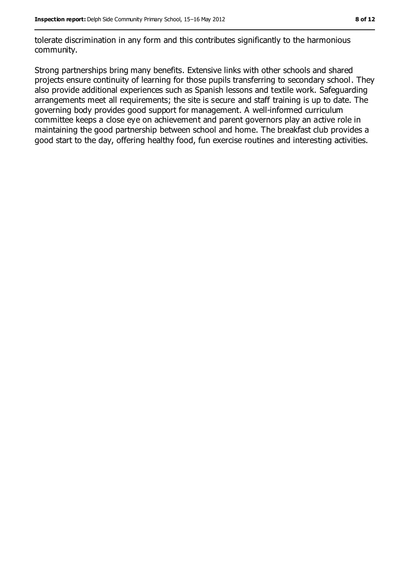tolerate discrimination in any form and this contributes significantly to the harmonious community.

Strong partnerships bring many benefits. Extensive links with other schools and shared projects ensure continuity of learning for those pupils transferring to secondary school. They also provide additional experiences such as Spanish lessons and textile work. Safeguarding arrangements meet all requirements; the site is secure and staff training is up to date. The governing body provides good support for management. A well-informed curriculum committee keeps a close eye on achievement and parent governors play an active role in maintaining the good partnership between school and home. The breakfast club provides a good start to the day, offering healthy food, fun exercise routines and interesting activities.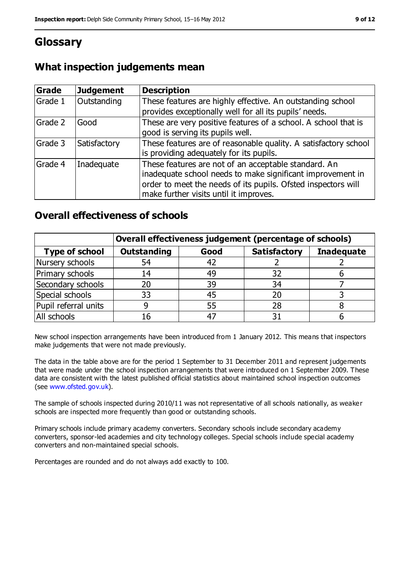# **Glossary**

## **What inspection judgements mean**

| Grade   | <b>Judgement</b> | <b>Description</b>                                                                                                                                                                                                            |
|---------|------------------|-------------------------------------------------------------------------------------------------------------------------------------------------------------------------------------------------------------------------------|
| Grade 1 | Outstanding      | These features are highly effective. An outstanding school<br>provides exceptionally well for all its pupils' needs.                                                                                                          |
| Grade 2 | Good             | These are very positive features of a school. A school that is<br>good is serving its pupils well.                                                                                                                            |
| Grade 3 | Satisfactory     | These features are of reasonable quality. A satisfactory school<br>is providing adequately for its pupils.                                                                                                                    |
| Grade 4 | Inadequate       | These features are not of an acceptable standard. An<br>inadequate school needs to make significant improvement in<br>order to meet the needs of its pupils. Ofsted inspectors will<br>make further visits until it improves. |

## **Overall effectiveness of schools**

|                       | Overall effectiveness judgement (percentage of schools) |      |                     |                   |
|-----------------------|---------------------------------------------------------|------|---------------------|-------------------|
| <b>Type of school</b> | <b>Outstanding</b>                                      | Good | <b>Satisfactory</b> | <b>Inadequate</b> |
| Nursery schools       | 54                                                      | 42   |                     |                   |
| Primary schools       | 14                                                      | 49   | 32                  |                   |
| Secondary schools     | 20                                                      | 39   | 34                  |                   |
| Special schools       | 33                                                      | 45   | 20                  |                   |
| Pupil referral units  | 9                                                       | 55   | 28                  |                   |
| All schools           | 16                                                      |      |                     |                   |

New school inspection arrangements have been introduced from 1 January 2012. This means that inspectors make judgements that were not made previously.

The data in the table above are for the period 1 September to 31 December 2011 and represent judgements that were made under the school inspection arrangements that were introduced on 1 September 2009. These data are consistent with the latest published official statistics about maintained school inspection outcomes (see [www.ofsted.gov.uk\)](www.ofsted.gov.uk).

The sample of schools inspected during 2010/11 was not representative of all schools nationally, as weaker schools are inspected more frequently than good or outstanding schools.

Primary schools include primary academy converters. Secondary schools include secondary academy converters, sponsor-led academies and city technology colleges. Special schools include special academy converters and non-maintained special schools.

Percentages are rounded and do not always add exactly to 100.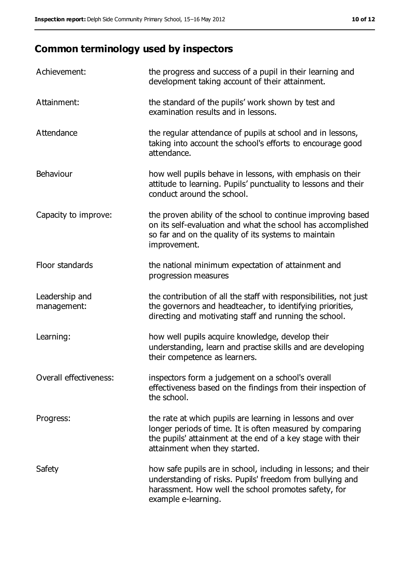# **Common terminology used by inspectors**

| Achievement:                  | the progress and success of a pupil in their learning and<br>development taking account of their attainment.                                                                                                           |
|-------------------------------|------------------------------------------------------------------------------------------------------------------------------------------------------------------------------------------------------------------------|
| Attainment:                   | the standard of the pupils' work shown by test and<br>examination results and in lessons.                                                                                                                              |
| Attendance                    | the regular attendance of pupils at school and in lessons,<br>taking into account the school's efforts to encourage good<br>attendance.                                                                                |
| Behaviour                     | how well pupils behave in lessons, with emphasis on their<br>attitude to learning. Pupils' punctuality to lessons and their<br>conduct around the school.                                                              |
| Capacity to improve:          | the proven ability of the school to continue improving based<br>on its self-evaluation and what the school has accomplished<br>so far and on the quality of its systems to maintain<br>improvement.                    |
| Floor standards               | the national minimum expectation of attainment and<br>progression measures                                                                                                                                             |
| Leadership and<br>management: | the contribution of all the staff with responsibilities, not just<br>the governors and headteacher, to identifying priorities,<br>directing and motivating staff and running the school.                               |
| Learning:                     | how well pupils acquire knowledge, develop their<br>understanding, learn and practise skills and are developing<br>their competence as learners.                                                                       |
| Overall effectiveness:        | inspectors form a judgement on a school's overall<br>effectiveness based on the findings from their inspection of<br>the school.                                                                                       |
| Progress:                     | the rate at which pupils are learning in lessons and over<br>longer periods of time. It is often measured by comparing<br>the pupils' attainment at the end of a key stage with their<br>attainment when they started. |
| Safety                        | how safe pupils are in school, including in lessons; and their<br>understanding of risks. Pupils' freedom from bullying and<br>harassment. How well the school promotes safety, for<br>example e-learning.             |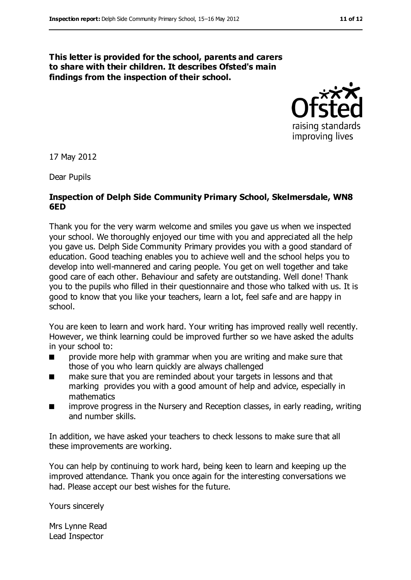#### **This letter is provided for the school, parents and carers to share with their children. It describes Ofsted's main findings from the inspection of their school.**



17 May 2012

Dear Pupils

#### **Inspection of Delph Side Community Primary School, Skelmersdale, WN8 6ED**

Thank you for the very warm welcome and smiles you gave us when we inspected your school. We thoroughly enjoyed our time with you and appreciated all the help you gave us. Delph Side Community Primary provides you with a good standard of education. Good teaching enables you to achieve well and the school helps you to develop into well-mannered and caring people. You get on well together and take good care of each other. Behaviour and safety are outstanding. Well done! Thank you to the pupils who filled in their questionnaire and those who talked with us. It is good to know that you like your teachers, learn a lot, feel safe and are happy in school.

You are keen to learn and work hard. Your writing has improved really well recently. However, we think learning could be improved further so we have asked the adults in your school to:

- provide more help with grammar when you are writing and make sure that those of you who learn quickly are always challenged
- make sure that you are reminded about your targets in lessons and that marking provides you with a good amount of help and advice, especially in mathematics
- improve progress in the Nursery and Reception classes, in early reading, writing and number skills.

In addition, we have asked your teachers to check lessons to make sure that all these improvements are working.

You can help by continuing to work hard, being keen to learn and keeping up the improved attendance. Thank you once again for the interesting conversations we had. Please accept our best wishes for the future.

Yours sincerely

Mrs Lynne Read Lead Inspector